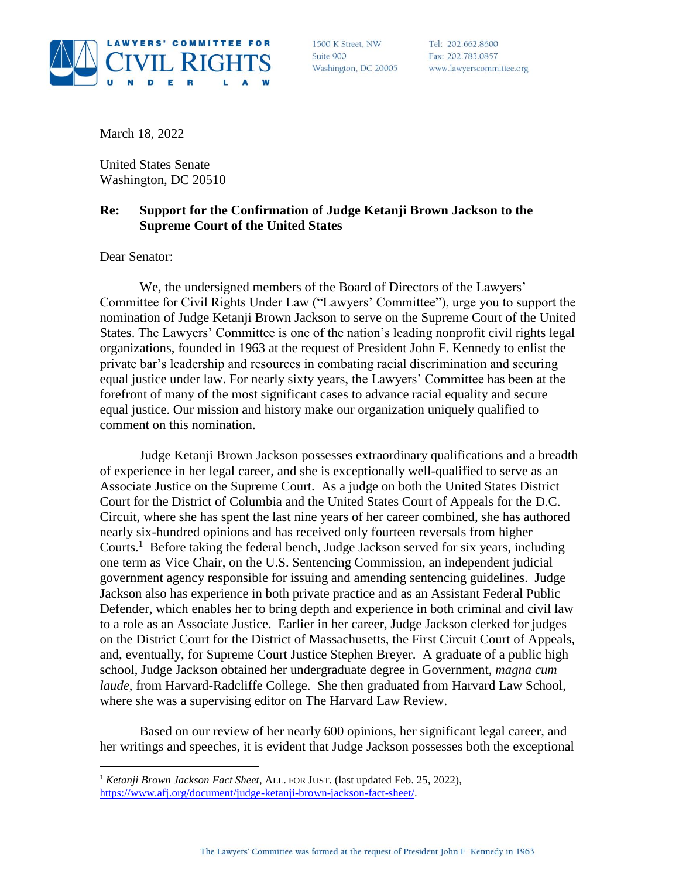

1500 K Street, NW Suite 900 Washington, DC 20005

Tel: 202.662.8600 Fax: 202.783.0857 www.lawyerscommittee.org

March 18, 2022

United States Senate Washington, DC 20510

## **Re: Support for the Confirmation of Judge Ketanji Brown Jackson to the Supreme Court of the United States**

Dear Senator:

 $\overline{a}$ 

We, the undersigned members of the Board of Directors of the Lawyers' Committee for Civil Rights Under Law ("Lawyers' Committee"), urge you to support the nomination of Judge Ketanji Brown Jackson to serve on the Supreme Court of the United States. The Lawyers' Committee is one of the nation's leading nonprofit civil rights legal organizations, founded in 1963 at the request of President John F. Kennedy to enlist the private bar's leadership and resources in combating racial discrimination and securing equal justice under law. For nearly sixty years, the Lawyers' Committee has been at the forefront of many of the most significant cases to advance racial equality and secure equal justice. Our mission and history make our organization uniquely qualified to comment on this nomination.

Judge Ketanji Brown Jackson possesses extraordinary qualifications and a breadth of experience in her legal career, and she is exceptionally well-qualified to serve as an Associate Justice on the Supreme Court. As a judge on both the United States District Court for the District of Columbia and the United States Court of Appeals for the D.C. Circuit, where she has spent the last nine years of her career combined, she has authored nearly six-hundred opinions and has received only fourteen reversals from higher Courts. <sup>1</sup> Before taking the federal bench, Judge Jackson served for six years, including one term as Vice Chair, on the U.S. Sentencing Commission, an independent judicial government agency responsible for issuing and amending sentencing guidelines. Judge Jackson also has experience in both private practice and as an Assistant Federal Public Defender, which enables her to bring depth and experience in both criminal and civil law to a role as an Associate Justice. Earlier in her career, Judge Jackson clerked for judges on the District Court for the District of Massachusetts, the First Circuit Court of Appeals, and, eventually, for Supreme Court Justice Stephen Breyer. A graduate of a public high school, Judge Jackson obtained her undergraduate degree in Government, *magna cum laude*, from Harvard-Radcliffe College. She then graduated from Harvard Law School, where she was a supervising editor on The Harvard Law Review.

Based on our review of her nearly 600 opinions, her significant legal career, and her writings and speeches, it is evident that Judge Jackson possesses both the exceptional

<sup>1</sup> *Ketanji Brown Jackson Fact Sheet*, ALL. FOR JUST. (last updated Feb. 25, 2022), [https://www.afj.org/document/judge-ketanji-brown-jackson-fact-sheet/.](https://www.afj.org/document/judge-ketanji-brown-jackson-fact-sheet/)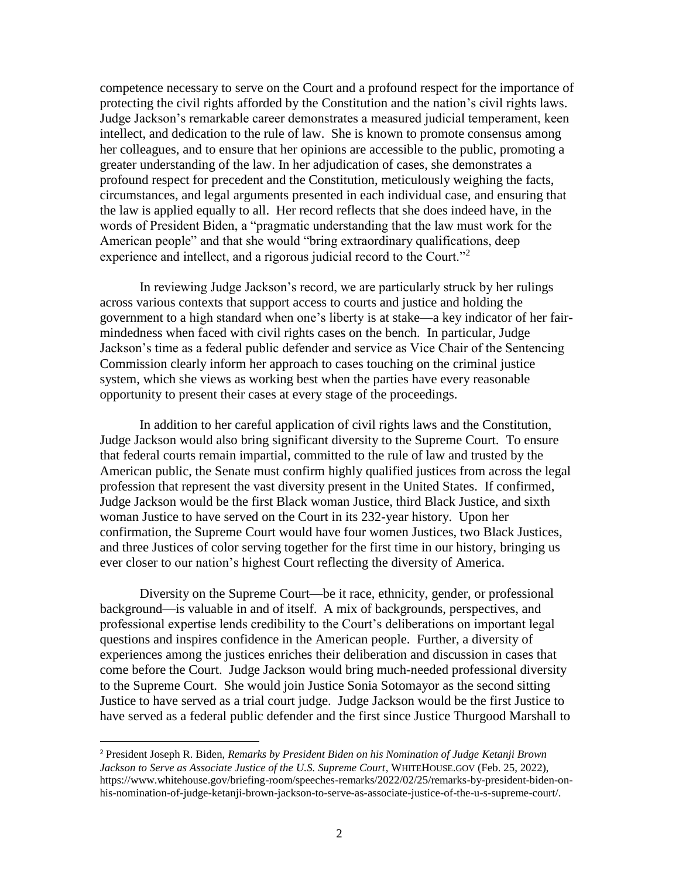competence necessary to serve on the Court and a profound respect for the importance of protecting the civil rights afforded by the Constitution and the nation's civil rights laws. Judge Jackson's remarkable career demonstrates a measured judicial temperament, keen intellect, and dedication to the rule of law. She is known to promote consensus among her colleagues, and to ensure that her opinions are accessible to the public, promoting a greater understanding of the law. In her adjudication of cases, she demonstrates a profound respect for precedent and the Constitution, meticulously weighing the facts, circumstances, and legal arguments presented in each individual case, and ensuring that the law is applied equally to all. Her record reflects that she does indeed have, in the words of President Biden, a "pragmatic understanding that the law must work for the American people" and that she would "bring extraordinary qualifications, deep experience and intellect, and a rigorous judicial record to the Court."<sup>2</sup>

In reviewing Judge Jackson's record, we are particularly struck by her rulings across various contexts that support access to courts and justice and holding the government to a high standard when one's liberty is at stake—a key indicator of her fairmindedness when faced with civil rights cases on the bench. In particular, Judge Jackson's time as a federal public defender and service as Vice Chair of the Sentencing Commission clearly inform her approach to cases touching on the criminal justice system, which she views as working best when the parties have every reasonable opportunity to present their cases at every stage of the proceedings.

In addition to her careful application of civil rights laws and the Constitution, Judge Jackson would also bring significant diversity to the Supreme Court. To ensure that federal courts remain impartial, committed to the rule of law and trusted by the American public, the Senate must confirm highly qualified justices from across the legal profession that represent the vast diversity present in the United States. If confirmed, Judge Jackson would be the first Black woman Justice, third Black Justice, and sixth woman Justice to have served on the Court in its 232-year history. Upon her confirmation, the Supreme Court would have four women Justices, two Black Justices, and three Justices of color serving together for the first time in our history, bringing us ever closer to our nation's highest Court reflecting the diversity of America.

Diversity on the Supreme Court—be it race, ethnicity, gender, or professional background—is valuable in and of itself. A mix of backgrounds, perspectives, and professional expertise lends credibility to the Court's deliberations on important legal questions and inspires confidence in the American people. Further, a diversity of experiences among the justices enriches their deliberation and discussion in cases that come before the Court. Judge Jackson would bring much-needed professional diversity to the Supreme Court. She would join Justice Sonia Sotomayor as the second sitting Justice to have served as a trial court judge. Judge Jackson would be the first Justice to have served as a federal public defender and the first since Justice Thurgood Marshall to

 $\overline{a}$ 

<sup>2</sup> President Joseph R. Biden, *Remarks by President Biden on his Nomination of Judge Ketanji Brown Jackson to Serve as Associate Justice of the U.S. Supreme Court*, WHITEHOUSE.GOV (Feb. 25, 2022), https://www.whitehouse.gov/briefing-room/speeches-remarks/2022/02/25/remarks-by-president-biden-onhis-nomination-of-judge-ketanji-brown-jackson-to-serve-as-associate-justice-of-the-u-s-supreme-court/.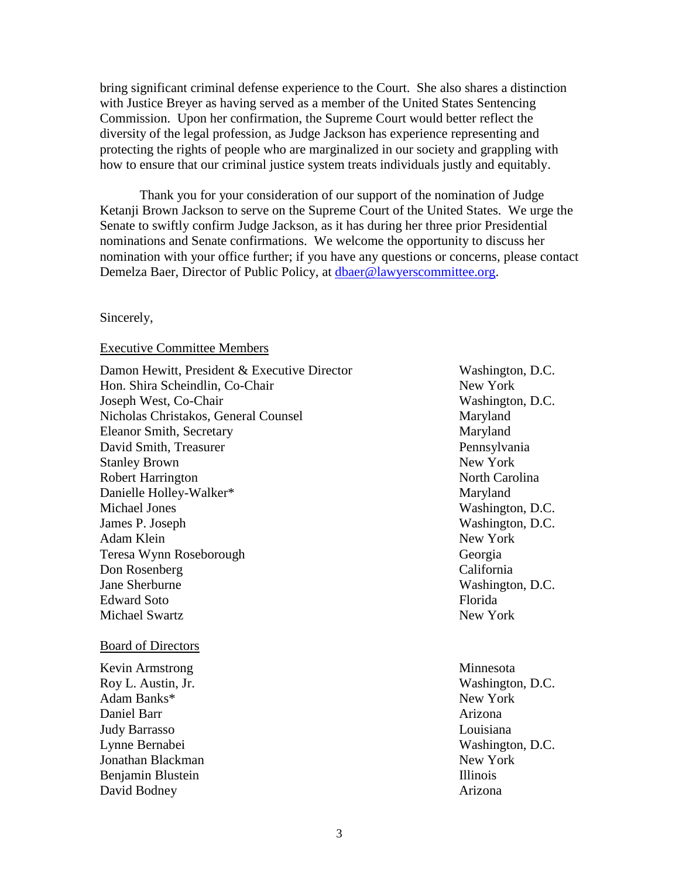bring significant criminal defense experience to the Court. She also shares a distinction with Justice Breyer as having served as a member of the United States Sentencing Commission. Upon her confirmation, the Supreme Court would better reflect the diversity of the legal profession, as Judge Jackson has experience representing and protecting the rights of people who are marginalized in our society and grappling with how to ensure that our criminal justice system treats individuals justly and equitably.

Thank you for your consideration of our support of the nomination of Judge Ketanji Brown Jackson to serve on the Supreme Court of the United States. We urge the Senate to swiftly confirm Judge Jackson, as it has during her three prior Presidential nominations and Senate confirmations. We welcome the opportunity to discuss her nomination with your office further; if you have any questions or concerns, please contact Demelza Baer, Director of Public Policy, at [dbaer@lawyerscommittee.org.](mailto:emartin@lawyerscommittee.org)

## Sincerely,

## Executive Committee Members

Damon Hewitt, President & Executive Director Washington, D.C. Hon. Shira Scheindlin, Co-Chair New York New York Joseph West, Co-Chair Washington, D.C. Nicholas Christakos, General Counsel Maryland Eleanor Smith, Secretary Maryland David Smith, Treasurer Pennsylvania Stanley Brown New York Robert Harrington North Carolina Danielle Holley-Walker\* Maryland Michael Jones Washington, D.C. James P. Joseph Washington, D.C. Adam Klein New York Teresa Wynn Roseborough Georgia Don Rosenberg California Jane Sherburne Washington, D.C. Edward Soto Florida Michael Swartz New York

## Board of Directors

Kevin Armstrong Minnesota Roy L. Austin, Jr. Washington, D.C. Adam Banks\* New York 1988. The Second Second Second Second Second Second Second Second Second Second Second Second Second Second Second Second Second Second Second Second Second Second Second Second Second Second Second Se Daniel Barr Arizona Judy Barrasso Louisiana Lynne Bernabei Washington, D.C. Jonathan Blackman New York Benjamin Blustein **Illinois** David Bodney Arizona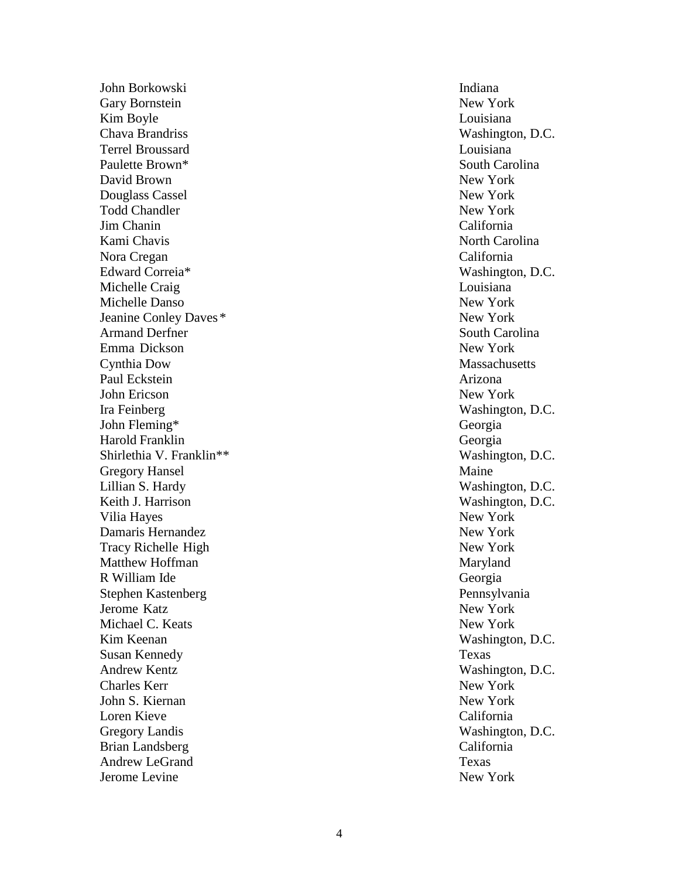John Borkowski Indiana Gary Bornstein New York Kim Boyle Louisiana Chava Brandriss Washington, D.C. Terrel Broussard Louisiana Paulette Brown David Brown New York Douglass Cassel New York Todd Chandler New York Jim Chanin California Kami Chavis North Carolina Nora Cregan California Edward Correia Michelle Craig Louisiana Michelle Danso New York Jeanine Conley Daves Armand Derfner South Carolina Emma Dickson New York Cynthia Dow Massachusetts Paul Eckstein Arizona John Ericson New York Ira Feinberg Washington, D.C. John Fleming Harold Franklin Georgia Shirlethia V. Franklin<sup>\*\*</sup> Washington, D.C. Gregory Hansel Maine Lillian S. Hardy Washington, D.C. Keith J. Harrison Washington, D.C. Vilia Hayes New York Damaris Hernandez New York Tracy Richelle High New York Matthew Hoffman Maryland Maryland Maryland R William Ide Stephen Kastenberg Pennsylvania Jerome Katz New York Michael C. Keats New York New York Kim Keenan Washington, D.C. Susan Kennedy Texas Andrew Kentz Washington, D.C. Charles Kerr New York New York John S. Kiernan New York Loren Kieve California Gregory Landis Brian Landsberg California Andrew LeGrand Texas Jerome Levine New York

South Carolina Washington, D.C. New York Georgia , D.C.